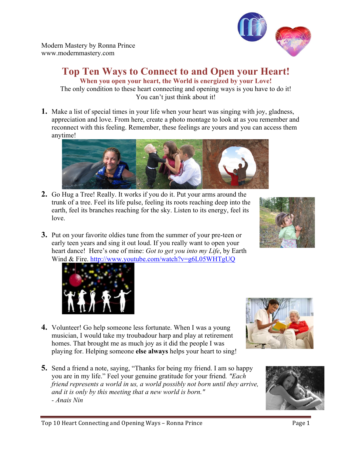Modern Mastery by Ronna Prince www.modernmastery.com

## **Top Ten Ways to Connect to and Open your Heart! When you open your heart, the World is energized by your Love!**

The only condition to these heart connecting and opening ways is you have to do it! You can't just think about it!

**1.** Make a list of special times in your life when your heart was singing with joy, gladness, appreciation and love. From here, create a photo montage to look at as you remember and reconnect with this feeling. Remember, these feelings are yours and you can access them anytime!

- **2.** Go Hug a Tree! Really. It works if you do it. Put your arms around the trunk of a tree. Feel its life pulse, feeling its roots reaching deep into the earth, feel its branches reaching for the sky. Listen to its energy, feel its love.
- **3.** Put on your favorite oldies tune from the summer of your pre-teen or early teen years and sing it out loud. If you really want to open your heart dance! Here's one of mine: *Got to get you into my Life*, by Earth Wind & Fire. http://www.youtube.com/watch?v=g6L05WHTgUQ

- **4.** Volunteer! Go help someone less fortunate. When I was a young musician, I would take my troubadour harp and play at retirement homes. That brought me as much joy as it did the people I was playing for. Helping someone **else always** helps your heart to sing!
- **5.** Send a friend a note, saying, "Thanks for being my friend. I am so happy you are in my life." Feel your genuine gratitude for your friend*. "Each friend represents a world in us, a world possibly not born until they arrive, and it is only by this meeting that a new world is born." - Anais Nin*